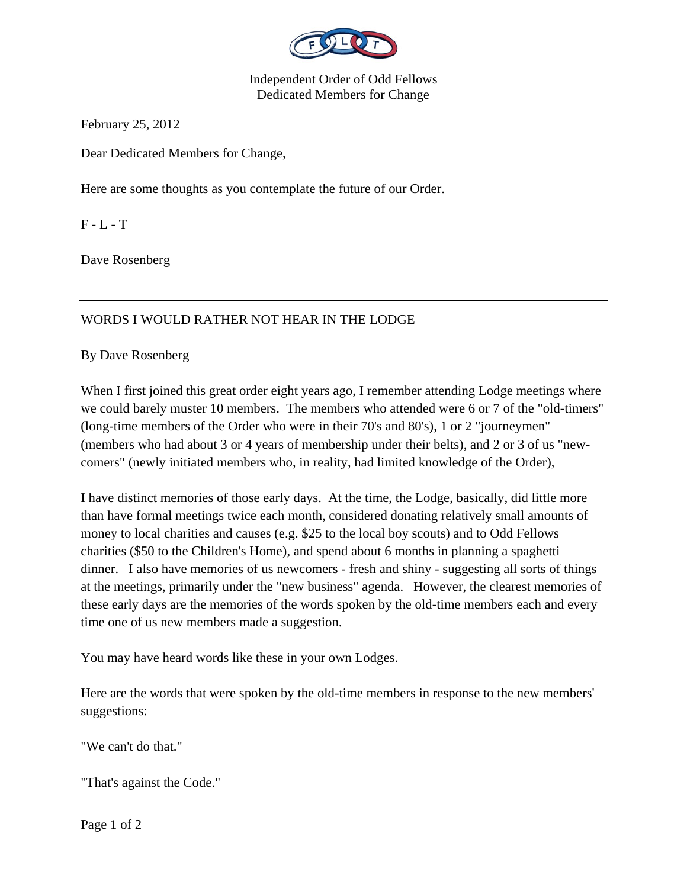

Independent Order of Odd Fellows Dedicated Members for Change

February 25, 2012

Dear Dedicated Members for Change,

Here are some thoughts as you contemplate the future of our Order.

 $F - L - T$ 

Dave Rosenberg

## WORDS I WOULD RATHER NOT HEAR IN THE LODGE

By Dave Rosenberg

When I first joined this great order eight years ago, I remember attending Lodge meetings where we could barely muster 10 members. The members who attended were 6 or 7 of the "old-timers" (long-time members of the Order who were in their 70's and 80's), 1 or 2 "journeymen" (members who had about 3 or 4 years of membership under their belts), and 2 or 3 of us "newcomers" (newly initiated members who, in reality, had limited knowledge of the Order),

I have distinct memories of those early days. At the time, the Lodge, basically, did little more than have formal meetings twice each month, considered donating relatively small amounts of money to local charities and causes (e.g. \$25 to the local boy scouts) and to Odd Fellows charities (\$50 to the Children's Home), and spend about 6 months in planning a spaghetti dinner. I also have memories of us newcomers - fresh and shiny - suggesting all sorts of things at the meetings, primarily under the "new business" agenda. However, the clearest memories of these early days are the memories of the words spoken by the old-time members each and every time one of us new members made a suggestion.

You may have heard words like these in your own Lodges.

Here are the words that were spoken by the old-time members in response to the new members' suggestions:

"We can't do that."

"That's against the Code."